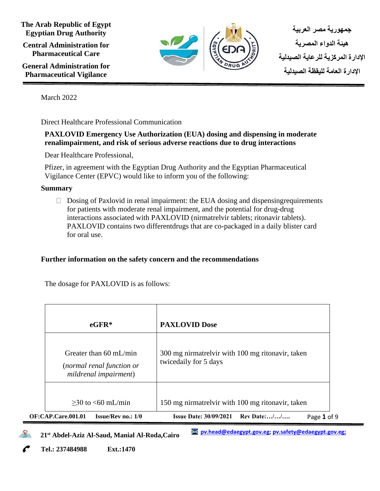**The Arab Republic of Egypt Egyptian Drug Authority Central Administration for Pharmaceutical Care**

**General Administration for Pharmaceutical Vigilance**



**جمهورية مصر العربية هيئة الدواء المصرية اإلدارة المركزية للرعاية الصيدلية اإلدارة العامة لليقظة الصيدلية** 

March 2022

Direct Healthcare Professional Communication

# **PAXLOVID Emergency Use Authorization (EUA) dosing and dispensing in moderate renalimpairment, and risk of serious adverse reactions due to drug interactions**

Dear Healthcare Professional,

Pfizer, in agreement with the Egyptian Drug Authority and the Egyptian Pharmaceutical Vigilance Center (EPVC) would like to inform you of the following:

## **Summary**

 $\Box$  Dosing of Paxlovid in renal impairment: the EUA dosing and dispensing requirements for patients with moderate renal impairment, and the potential for drug-drug interactions associated with PAXLOVID (nirmatrelvir tablets; ritonavir tablets). PAXLOVID contains two differentdrugs that are co-packaged in a daily blister card for oral use.

# **Further information on the safety concern and the recommendations**

The dosage for PAXLOVID is as follows:

| $e$ GFR $*$                                                                            | <b>PAXLOVID Dose</b>                                                      |
|----------------------------------------------------------------------------------------|---------------------------------------------------------------------------|
| Greater than $60 \text{ mL/min}$<br>(normal renal function or<br>mildrenal impairment) | 300 mg nirmatrelvir with 100 mg ritonavir, taken<br>twicedaily for 5 days |
| $>30$ to $< 60$ mL/min                                                                 | 150 mg nirmatrelvir with 100 mg ritonavir, taken                          |
| <b>OF:CAP.Care.001.01</b><br><b>Issue/Rev</b> no.: $1/0$                               | Rev Date://<br><b>Issue Date: 30/09/2021</b><br>Page 1 of 9               |

 **21st Abdel-Aziz Al-Saud, Manial Al-Roda,Cairo**

**[pv.head@edaegypt.gov.eg;](mailto:pv.head@edaegypt.gov.eg) [pv.safety@edaegypt.gov.eg;](mailto:pv.safety@edaegypt.gov.eg;)**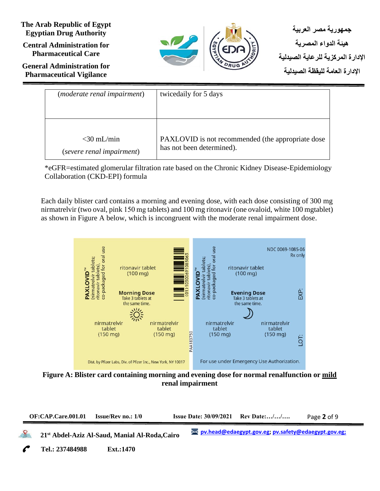**Central Administration for Pharmaceutical Care**

**General Administration for Pharmaceutical Vigilance**



**جمهورية مصر العربية هيئة الدواء المصرية اإلدارة المركزية للرعاية الصيدلية اإلدارة العامة لليقظة الصيدلية** 

| ( <i>moderate renal impairment</i> ) | twicedaily for 5 days                              |
|--------------------------------------|----------------------------------------------------|
| $<$ 30 mL/min                        | PAXLOVID is not recommended (the appropriate dose) |
| (severe renal impairment)            | has not been determined).                          |

\*eGFR=estimated glomerular filtration rate based on the Chronic Kidney Disease-Epidemiology Collaboration (CKD-EPI) formula

Each daily blister card contains a morning and evening dose, with each dose consisting of 300 mg nirmatrelvir (two oval, pink 150 mg tablets) and 100 mg ritonavir (one ovaloid, white 100 mgtablet) as shown in Figure A below, which is incongruent with the moderate renal impairment dose.



**Figure A: Blister card containing morning and evening dose for normal renalfunction or mild renal impairment**

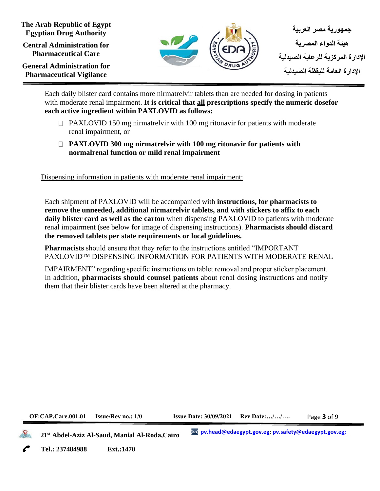**Central Administration for Pharmaceutical Care**

**General Administration for Pharmaceutical Vigilance**



Each daily blister card contains more nirmatrelvir tablets than are needed for dosing in patients with moderate renal impairment. **It is critical that all prescriptions specify the numeric dosefor each active ingredient within PAXLOVID as follows:**

- $\Box$  PAXLOVID 150 mg nirmatrelvir with 100 mg ritonavir for patients with moderate renal impairment, or
- **PAXLOVID 300 mg nirmatrelvir with 100 mg ritonavir for patients with normalrenal function or mild renal impairment**

Dispensing information in patients with moderate renal impairment:

Each shipment of PAXLOVID will be accompanied with **instructions, for pharmacists to remove the unneeded, additional nirmatrelvir tablets, and with stickers to affix to each daily blister card as well as the carton** when dispensing PAXLOVID to patients with moderate renal impairment (see below for image of dispensing instructions). **Pharmacists should discard the removed tablets per state requirements or local guidelines.**

**Pharmacists** should ensure that they refer to the instructions entitled "IMPORTANT PAXLOVID™ DISPENSING INFORMATION FOR PATIENTS WITH MODERATE RENAL

IMPAIRMENT" regarding specific instructions on tablet removal and proper sticker placement. In addition, **pharmacists should counsel patients** about renal dosing instructions and notify them that their blister cards have been altered at the pharmacy.

**OF:CAP.Care.001.01 Issue/Rev no.: 1/0 Issue Date: 30/09/2021 Rev Date:…/…/….**

Page **3** of 9

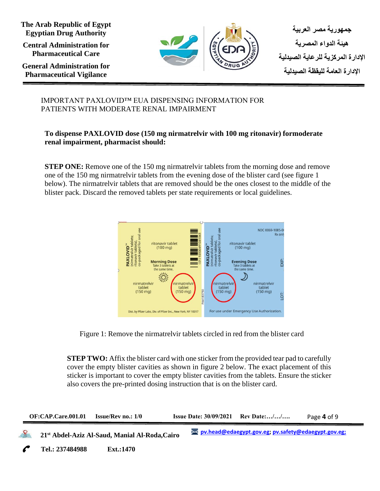**Central Administration for Pharmaceutical Care**

**General Administration for Pharmaceutical Vigilance**



## IMPORTANT PAXLOVID™ EUA DISPENSING INFORMATION FOR PATIENTS WITH MODERATE RENAL IMPAIRMENT

## **To dispense PAXLOVID dose (150 mg nirmatrelvir with 100 mg ritonavir) formoderate renal impairment, pharmacist should:**

**STEP ONE:** Remove one of the 150 mg nirmatrelvir tablets from the morning dose and remove one of the 150 mg nirmatrelvir tablets from the evening dose of the blister card (see figure 1 below). The nirmatrelvir tablets that are removed should be the ones closest to the middle of the blister pack. Discard the removed tablets per state requirements or local guidelines.



Figure 1: Remove the nirmatrelvir tablets circled in red from the blister card

**STEP TWO:** Affix the blister card with one sticker from the provided tear pad to carefully cover the empty blister cavities as shown in figure 2 below. The exact placement of this sticker is important to cover the empty blister cavities from the tablets. Ensure the sticker also covers the pre-printed dosing instruction that is on the blister card.

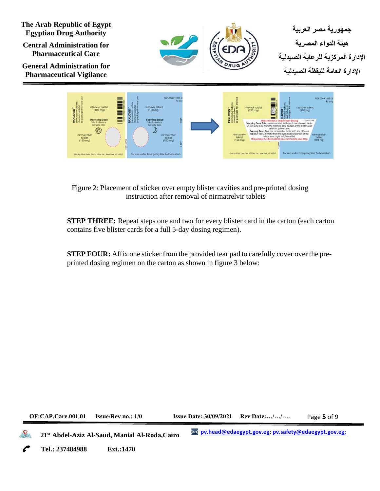**Central Administration for Pharmaceutical Care**

**General Administration for Pharmaceutical Vigilance**





Figure 2: Placement of sticker over empty blister cavities and pre-printed dosing instruction after removal of nirmatrelvir tablets

**STEP THREE:** Repeat steps one and two for every blister card in the carton (each carton contains five blister cards for a full 5-day dosing regimen).

**STEP FOUR:** Affix one sticker from the provided tear pad to carefully cover over the preprinted dosing regimen on the carton as shown in figure 3 below:

**OF:CAP.Care.001.01 Issue/Rev no.: 1/0 Issue Date: 30/09/2021 Rev Date:…/…/….**

Page **5** of 9

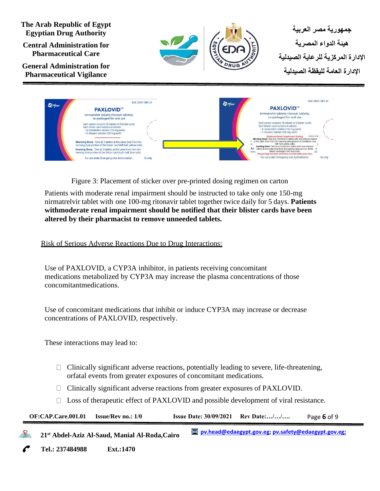



Figure 3: Placement of sticker over pre-printed dosing regimen on carton

Patients with moderate renal impairment should be instructed to take only one 150-mg nirmatrelvir tablet with one 100-mg ritonavir tablet together twice daily for 5 days. **Patients withmoderate renal impairment should be notified that their blister cards have been altered by their pharmacist to remove unneeded tablets.**

Risk of Serious Adverse Reactions Due to Drug Interactions:

Use of PAXLOVID, a CYP3A inhibitor, in patients receiving concomitant medications metabolized by CYP3A may increase the plasma concentrations of those concomitantmedications.

Use of concomitant medications that inhibit or induce CYP3A may increase or decrease concentrations of PAXLOVID, respectively.

These interactions may lead to:

ster card conta

- Clinically significant adverse reactions, potentially leading to severe, life-threatening, orfatal events from greater exposures of concomitant medications.
- Clinically significant adverse reactions from greater exposures of PAXLOVID.
- $\Box$  Loss of therapeutic effect of PAXLOVID and possible development of viral resistance.

| OF:CAP.Care.001.01 | <b>Issue/Rev</b> no.: $1/0$                                | <b>Issue Date: 30/09/2021</b> Rev Date:// |                                                        | Page 6 of 9 |
|--------------------|------------------------------------------------------------|-------------------------------------------|--------------------------------------------------------|-------------|
|                    | 21 <sup>st</sup> Abdel-Aziz Al-Saud, Manial Al-Roda, Cairo |                                           | >< pv.head@edaegypt.gov.eg; pv.safety@edaegypt.gov.eg; |             |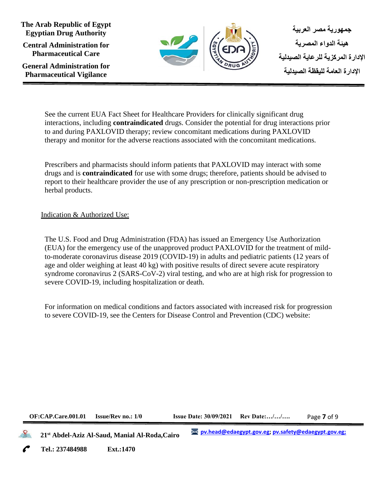**The Arab Republic of Egypt Egyptian Drug Authority Central Administration for Pharmaceutical Care**

**General Administration for Pharmaceutical Vigilance**



See the current EUA Fact Sheet for Healthcare Providers for clinically significant drug interactions, including **contraindicated** drugs. Consider the potential for drug interactions prior to and during PAXLOVID therapy; review concomitant medications during PAXLOVID therapy and monitor for the adverse reactions associated with the concomitant medications*.*

Prescribers and pharmacists should inform patients that PAXLOVID may interact with some drugs and is **contraindicated** for use with some drugs; therefore, patients should be advised to report to their healthcare provider the use of any prescription or non-prescription medication or herbal products.

Indication & Authorized Use:

The U.S. Food and Drug Administration (FDA) has issued an Emergency Use Authorization (EUA) for the emergency use of the unapproved product PAXLOVID for the treatment of mildto-moderate coronavirus disease 2019 (COVID-19) in adults and pediatric patients (12 years of age and older weighing at least 40 kg) with positive results of direct severe acute respiratory syndrome coronavirus 2 (SARS-CoV-2) viral testing, and who are at high risk for progression to severe COVID-19, including hospitalization or death.

For information on medical conditions and factors associated with increased risk for progression to severe COVID-19, see the Centers for Disease Control and Prevention (CDC) website:

#### **OF:CAP.Care.001.01 Issue/Rev no.: 1/0 Issue Date: 30/09/2021 Rev Date:…/…/….**

Page **7** of 9

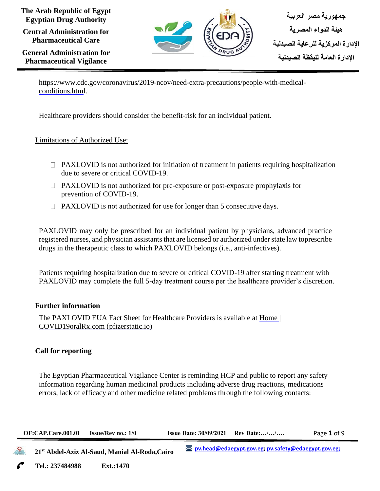**Central Administration for Pharmaceutical Care**

**General Administration for Pharmaceutical Vigilance**



[https://www.cdc.gov/coronavirus/2019-ncov/need-extra-precautions/people-with-medical](https://www.cdc.gov/coronavirus/2019-ncov/need-extra-precautions/people-with-medical-conditions.html)[conditions.html.](https://www.cdc.gov/coronavirus/2019-ncov/need-extra-precautions/people-with-medical-conditions.html)

Healthcare providers should consider the benefit-risk for an individual patient.

## Limitations of Authorized Use:

- $\Box$  PAXLOVID is not authorized for initiation of treatment in patients requiring hospitalization due to severe or critical COVID-19.
- $\Box$  PAXLOVID is not authorized for pre-exposure or post-exposure prophylaxis for prevention of COVID-19.
- $\Box$  PAXLOVID is not authorized for use for longer than 5 consecutive days.

PAXLOVID may only be prescribed for an individual patient by physicians, advanced practice registered nurses, and physician assistants that are licensed or authorized under state law toprescribe drugs in the therapeutic class to which PAXLOVID belongs (i.e., anti-infectives).

Patients requiring hospitalization due to severe or critical COVID-19 after starting treatment with PAXLOVID may complete the full 5-day treatment course per the healthcare provider's discretion.

#### **Further information**

The PAXLOVID EUA Fact Sheet for Healthcare Providers is available at [Home](https://covid19oralrxcom-preview.dev.pfizerstatic.io/en) | [COVID19oralRx.com](https://covid19oralrxcom-preview.dev.pfizerstatic.io/en) (pfizerstatic.io)

## **Call for reporting**

The Egyptian Pharmaceutical Vigilance Center is reminding HCP and public to report any safety information regarding human medicinal products including adverse drug reactions, medications errors, lack of efficacy and other medicine related problems through the following contacts:

| <b>Issue Date: <math>30/09/2021</math> Rev Date://</b><br><b>OF:CAP.Care.001.01</b><br><b>Issue/Rev no.: 1/0</b><br>Page 1 of 9 |  |
|---------------------------------------------------------------------------------------------------------------------------------|--|
|---------------------------------------------------------------------------------------------------------------------------------|--|

 **21st Abdel-Aziz Al-Saud, Manial Al-Roda,Cairo**